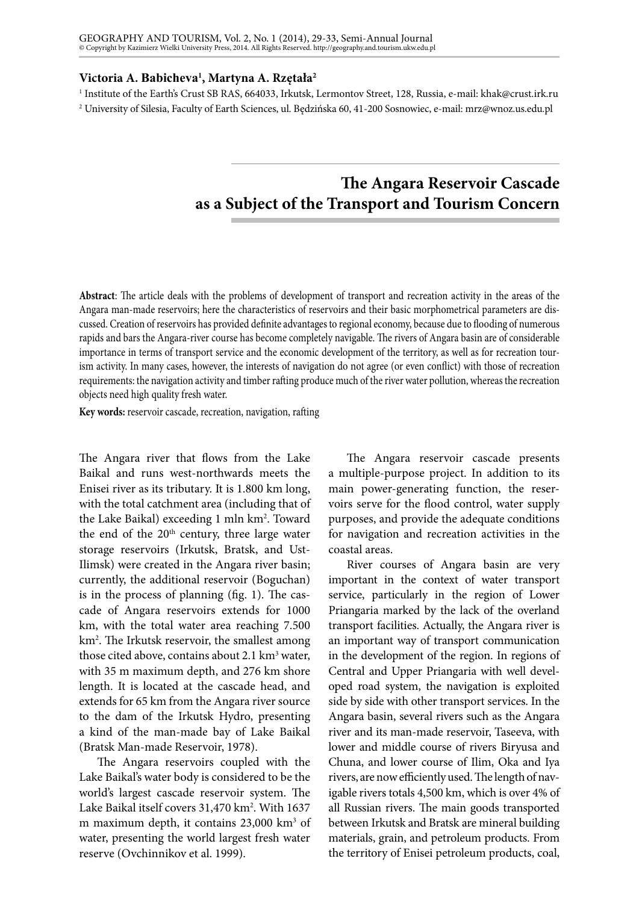## **Victoria A. Babicheva<sup>1</sup> , Martyna A. Rzętała2**

1 Institute of the Earth's Crust SB RAS, 664033, Irkutsk, Lermontov Street, 128, Russia, e-mail: [khak@crust.irk.ru](mailto:khak@crust.irk.ru) 2 University of Silesia, Faculty of Earth Sciences, ul. Będzińska 60, 41-200 Sosnowiec, e-mail: mrz@wnoz.us.edu.pl

## **The Angara Reservoir Cascade as a Subject of the Transport and Tourism Concern**

**Abstract**: The article deals with the problems of development of transport and recreation activity in the areas of the Angara man-made reservoirs; here the characteristics of reservoirs and their basic morphometrical parameters are discussed. Creation of reservoirs has provided definite advantages to regional economy, because due to flooding of numerous rapids and bars the Angara-river course has become completely navigable. The rivers of Angara basin are of considerable importance in terms of transport service and the economic development of the territory, as well as for recreation tourism activity. In many cases, however, the interests of navigation do not agree (or even conflict) with those of recreation requirements: the navigation activity and timber rafting produce much of the river water pollution, whereas the recreation objects need high quality fresh water.

**Key words:** reservoir cascade, recreation, navigation, rafting

The Angara river that flows from the Lake Baikal and runs west-northwards meets the Enisei river as its tributary. It is 1.800 km long, with the total catchment area (including that of the Lake Baikal) exceeding 1 mln km<sup>2</sup>. Toward the end of the  $20<sup>th</sup>$  century, three large water storage reservoirs (Irkutsk, Bratsk, and Ust-Ilimsk) were created in the Angara river basin; currently, the additional reservoir (Boguchan) is in the process of planning (fig. 1). The cascade of Angara reservoirs extends for 1000 km, with the total water area reaching 7.500 km2 . The Irkutsk reservoir, the smallest among those cited above, contains about  $2.1 \text{ km}^3$  water, with 35 m maximum depth, and 276 km shore length. It is located at the cascade head, and extends for 65 km from the Angara river source to the dam of the Irkutsk Hydro, presenting a kind of the man-made bay of Lake Baikal (Bratsk Man-made Reservoir, 1978).

The Angara reservoirs coupled with the Lake Baikal's water body is considered to be the world's largest cascade reservoir system. The Lake Baikal itself covers 31,470 km<sup>2</sup>. With 1637 m maximum depth, it contains 23,000 km<sup>3</sup> of water, presenting the world largest fresh water reserve (Ovchinnikov et al. 1999).

The Angara reservoir cascade presents a multiple-purpose project. In addition to its main power-generating function, the reservoirs serve for the flood control, water supply purposes, and provide the adequate conditions for navigation and recreation activities in the coastal areas.

River courses of Angara basin are very important in the context of water transport service, particularly in the region of Lower Priangaria marked by the lack of the overland transport facilities. Actually, the Angara river is an important way of transport communication in the development of the region. In regions of Central and Upper Priangaria with well developed road system, the navigation is exploited side by side with other transport services. In the Angara basin, several rivers such as the Angara river and its man-made reservoir, Taseeva, with lower and middle course of rivers Biryusa and Chuna, and lower course of Ilim, Oka and Iya rivers, are now efficiently used. The length of navigable rivers totals 4,500 km, which is over 4% of all Russian rivers. The main goods transported between Irkutsk and Bratsk are mineral building materials, grain, and petroleum products. From the territory of Enisei petroleum products, coal,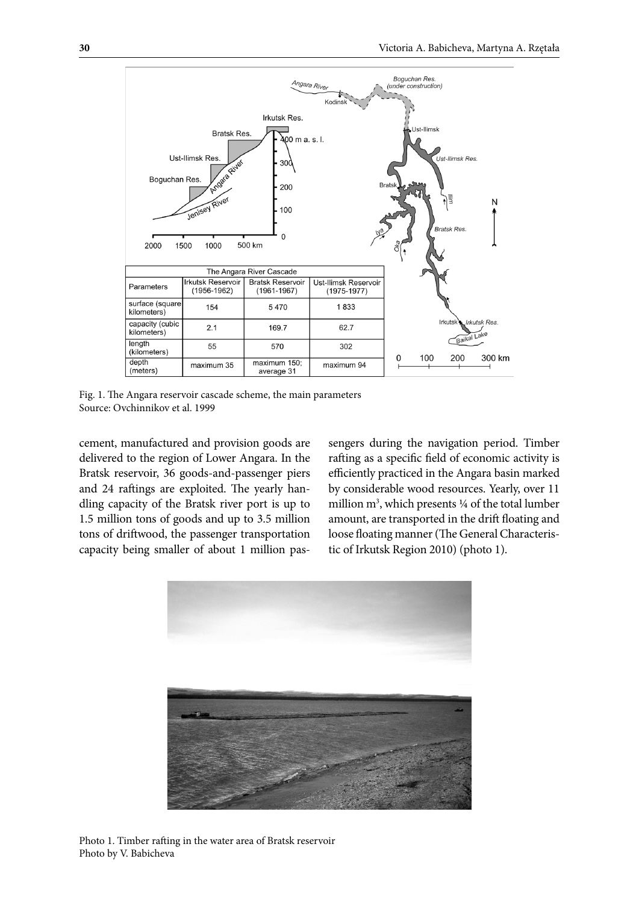

Fig. 1. The Angara reservoir cascade scheme, the main parameters Source: Ovchinnikov et al. 1999

cement, manufactured and provision goods are delivered to the region of Lower Angara. In the Bratsk reservoir, 36 goods-and-passenger piers and 24 raftings are exploited. The yearly handling capacity of the Bratsk river port is up to 1.5 million tons of goods and up to 3.5 million tons of driftwood, the passenger transportation capacity being smaller of about 1 million passengers during the navigation period. Timber rafting as a specific field of economic activity is efficiently practiced in the Angara basin marked by considerable wood resources. Yearly, over 11 million m<sup>3</sup>, which presents 1/4 of the total lumber amount, are transported in the drift floating and loose floating manner (The General Characteristic of Irkutsk Region 2010) (photo 1).



Photo 1. Timber rafting in the water area of Bratsk reservoir Photo by V. Babicheva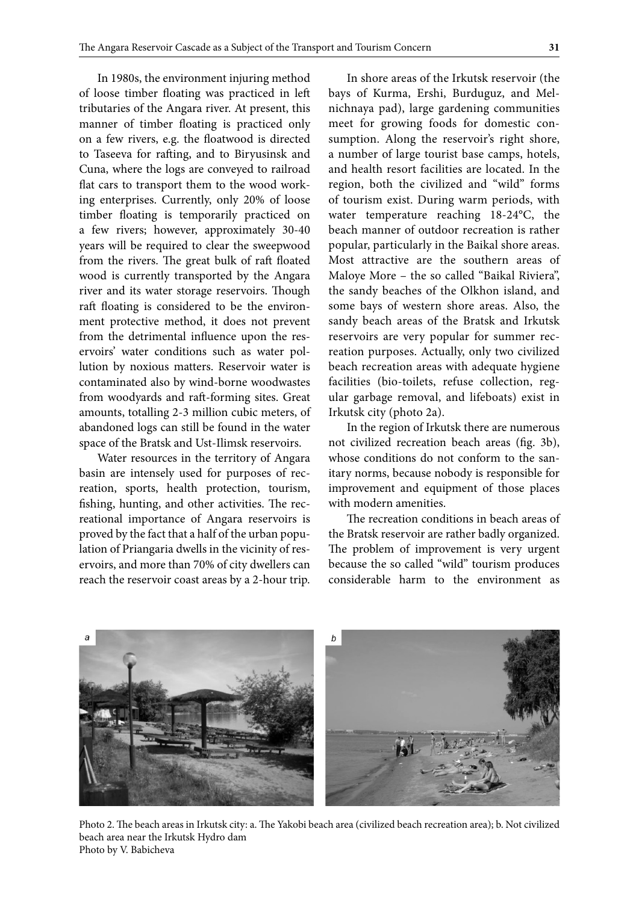In 1980s, the environment injuring method of loose timber floating was practiced in left tributaries of the Angara river. At present, this manner of timber floating is practiced only on a few rivers, e.g. the floatwood is directed to Taseeva for rafting, and to Biryusinsk and Cuna, where the logs are conveyed to railroad flat cars to transport them to the wood working enterprises. Currently, only 20% of loose timber floating is temporarily practiced on a few rivers; however, approximately 30-40 years will be required to clear the sweepwood from the rivers. The great bulk of raft floated wood is currently transported by the Angara river and its water storage reservoirs. Though raft floating is considered to be the environment protective method, it does not prevent from the detrimental influence upon the reservoirs' water conditions such as water pollution by noxious matters. Reservoir water is contaminated also by wind-borne woodwastes from woodyards and raft-forming sites. Great amounts, totalling 2-3 million cubic meters, of abandoned logs can still be found in the water space of the Bratsk and Ust-Ilimsk reservoirs.

Water resources in the territory of Angara basin are intensely used for purposes of recreation, sports, health protection, tourism, fishing, hunting, and other activities. The recreational importance of Angara reservoirs is proved by the fact that a half of the urban population of Priangaria dwells in the vicinity of reservoirs, and more than 70% of city dwellers can reach the reservoir coast areas by a 2-hour trip.

In shore areas of the Irkutsk reservoir (the bays of Kurma, Ershi, Burduguz, and Melnichnaya pad), large gardening communities meet for growing foods for domestic consumption. Along the reservoir's right shore, a number of large tourist base camps, hotels, and health resort facilities are located. In the region, both the civilized and "wild" forms of tourism exist. During warm periods, with water temperature reaching 18-24°C, the beach manner of outdoor recreation is rather popular, particularly in the Baikal shore areas. Most attractive are the southern areas of Maloye More – the so called "Baikal Riviera", the sandy beaches of the Olkhon island, and some bays of western shore areas. Also, the sandy beach areas of the Bratsk and Irkutsk reservoirs are very popular for summer recreation purposes. Actually, only two civilized beach recreation areas with adequate hygiene facilities (bio-toilets, refuse collection, regular garbage removal, and lifeboats) exist in Irkutsk city (photo 2a).

In the region of Irkutsk there are numerous not civilized recreation beach areas (fig. 3b), whose conditions do not conform to the sanitary norms, because nobody is responsible for improvement and equipment of those places with modern amenities.

The recreation conditions in beach areas of the Bratsk reservoir are rather badly organized. The problem of improvement is very urgent because the so called "wild" tourism produces considerable harm to the environment as



Photo 2. The beach areas in Irkutsk city: a. The Yakobi beach area (civilized beach recreation area); b. Not civilized beach area near the Irkutsk Hydro dam Photo by V. Babicheva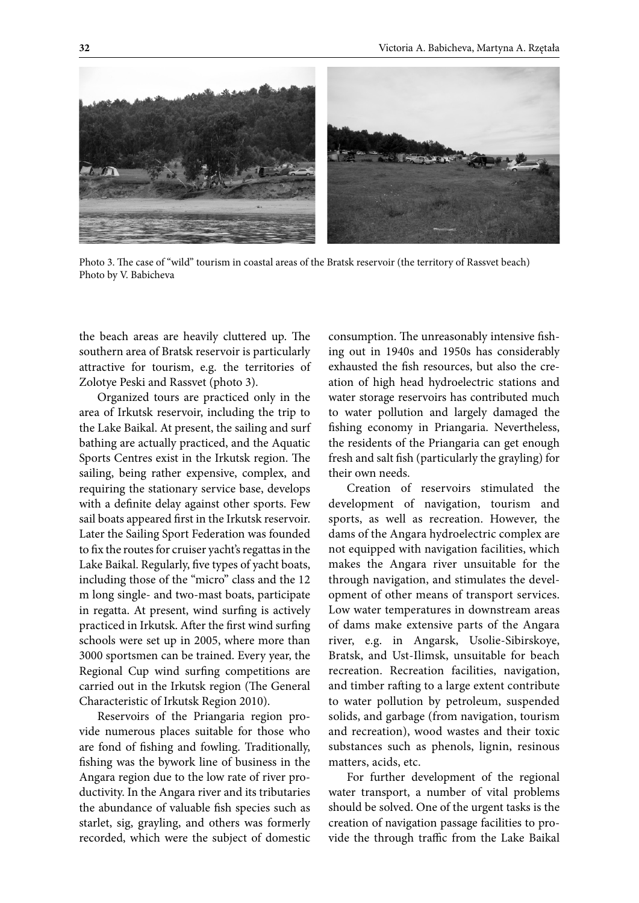

Photo 3. The case of "wild" tourism in coastal areas of the Bratsk reservoir (the territory of Rassvet beach) Photo by V. Babicheva

the beach areas are heavily cluttered up. The southern area of Bratsk reservoir is particularly attractive for tourism, e.g. the territories of Zolotye Peski and Rassvet (photo 3).

Organized tours are practiced only in the area of Irkutsk reservoir, including the trip to the Lake Baikal. At present, the sailing and surf bathing are actually practiced, and the Aquatic Sports Centres exist in the Irkutsk region. The sailing, being rather expensive, complex, and requiring the stationary service base, develops with a definite delay against other sports. Few sail boats appeared first in the Irkutsk reservoir. Later the Sailing Sport Federation was founded to fix the routes for cruiser yacht's regattas in the Lake Baikal. Regularly, five types of yacht boats, including those of the "micro" class and the 12 m long single- and two-mast boats, participate in regatta. At present, wind surfing is actively practiced in Irkutsk. After the first wind surfing schools were set up in 2005, where more than 3000 sportsmen can be trained. Every year, the Regional Cup wind surfing competitions are carried out in the Irkutsk region (The General Characteristic of Irkutsk Region 2010).

Reservoirs of the Priangaria region provide numerous places suitable for those who are fond of fishing and fowling. Traditionally, fishing was the bywork line of business in the Angara region due to the low rate of river productivity. In the Angara river and its tributaries the abundance of valuable fish species such as starlet, sig, grayling, and others was formerly recorded, which were the subject of domestic

consumption. The unreasonably intensive fishing out in 1940s and 1950s has considerably exhausted the fish resources, but also the creation of high head hydroelectric stations and water storage reservoirs has contributed much to water pollution and largely damaged the fishing economy in Priangaria. Nevertheless, the residents of the Priangaria can get enough fresh and salt fish (particularly the grayling) for their own needs.

Creation of reservoirs stimulated the development of navigation, tourism and sports, as well as recreation. However, the dams of the Angara hydroelectric complex are not equipped with navigation facilities, which makes the Angara river unsuitable for the through navigation, and stimulates the development of other means of transport services. Low water temperatures in downstream areas of dams make extensive parts of the Angara river, e.g. in Angarsk, Usolie-Sibirskoye, Bratsk, and Ust-Ilimsk, unsuitable for beach recreation. Recreation facilities, navigation, and timber rafting to a large extent contribute to water pollution by petroleum, suspended solids, and garbage (from navigation, tourism and recreation), wood wastes and their toxic substances such as phenols, lignin, resinous matters, acids, etc.

For further development of the regional water transport, a number of vital problems should be solved. One of the urgent tasks is the creation of navigation passage facilities to provide the through traffic from the Lake Baikal